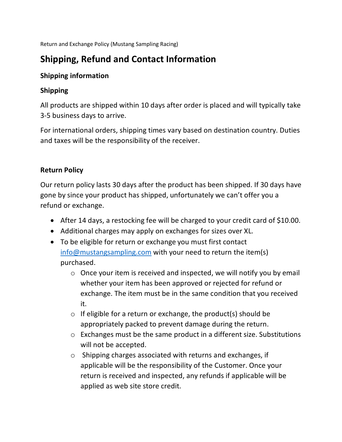Return and Exchange Policy (Mustang Sampling Racing)

# **Shipping, Refund and Contact Information**

#### **Shipping information**

# **Shipping**

All products are shipped within 10 days after order is placed and will typically take 3-5 business days to arrive.

For international orders, shipping times vary based on destination country. Duties and taxes will be the responsibility of the receiver.

## **Return Policy**

Our return policy lasts 30 days after the product has been shipped. If 30 days have gone by since your product has shipped, unfortunately we can't offer you a refund or exchange.

- After 14 days, a restocking fee will be charged to your credit card of \$10.00.
- Additional charges may apply on exchanges for sizes over XL.
- To be eligible for return or exchange you must first contact info@mustangsampling.com with your need to return the item(s) purchased.
	- o Once your item is received and inspected, we will notify you by email whether your item has been approved or rejected for refund or exchange. The item must be in the same condition that you received it.
	- $\circ$  If eligible for a return or exchange, the product(s) should be appropriately packed to prevent damage during the return.
	- o Exchanges must be the same product in a different size. Substitutions will not be accepted.
	- o Shipping charges associated with returns and exchanges, if applicable will be the responsibility of the Customer. Once your return is received and inspected, any refunds if applicable will be applied as web site store credit.